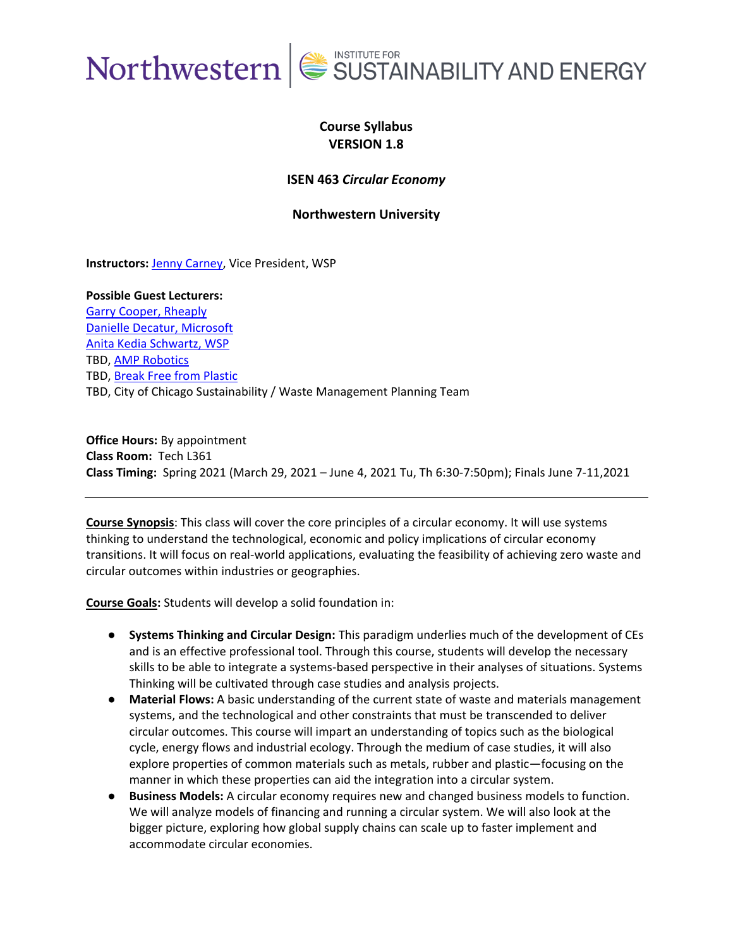

### **Course Syllabus VERSION 1.8**

#### **ISEN 463** *Circular Economy*

**Northwestern University**

**Instructors:** [Jenny Carney,](https://www.linkedin.com/in/jenny-carney/) Vice President, WSP

**Possible Guest Lecturers:** [Garry Cooper, Rheaply](https://www.linkedin.com/in/garrycooperphd) [Danielle Decatur, Microsoft](https://www.linkedin.com/in/danielledecatur) [Anita Kedia Schwartz, WSP](https://www.linkedin.com/in/anitakediaschwartz) TBD, [AMP Robotics](https://www.amprobotics.com/) TBD, [Break Free from Plastic](https://www.breakfreefromplastic.org/) TBD, City of Chicago Sustainability / Waste Management Planning Team

**Office Hours:** By appointment **Class Room:** Tech L361 **Class Timing:** Spring 2021 (March 29, 2021 – June 4, 2021 Tu, Th 6:30-7:50pm); Finals June 7-11,2021

**Course Synopsis**: This class will cover the core principles of a circular economy. It will use systems thinking to understand the technological, economic and policy implications of circular economy transitions. It will focus on real-world applications, evaluating the feasibility of achieving zero waste and circular outcomes within industries or geographies.

**Course Goals:** Students will develop a solid foundation in:

- **Systems Thinking and Circular Design:** This paradigm underlies much of the development of CEs and is an effective professional tool. Through this course, students will develop the necessary skills to be able to integrate a systems-based perspective in their analyses of situations. Systems Thinking will be cultivated through case studies and analysis projects.
- **Material Flows:** A basic understanding of the current state of waste and materials management systems, and the technological and other constraints that must be transcended to deliver circular outcomes. This course will impart an understanding of topics such as the biological cycle, energy flows and industrial ecology. Through the medium of case studies, it will also explore properties of common materials such as metals, rubber and plastic—focusing on the manner in which these properties can aid the integration into a circular system.
- **Business Models:** A circular economy requires new and changed business models to function. We will analyze models of financing and running a circular system. We will also look at the bigger picture, exploring how global supply chains can scale up to faster implement and accommodate circular economies.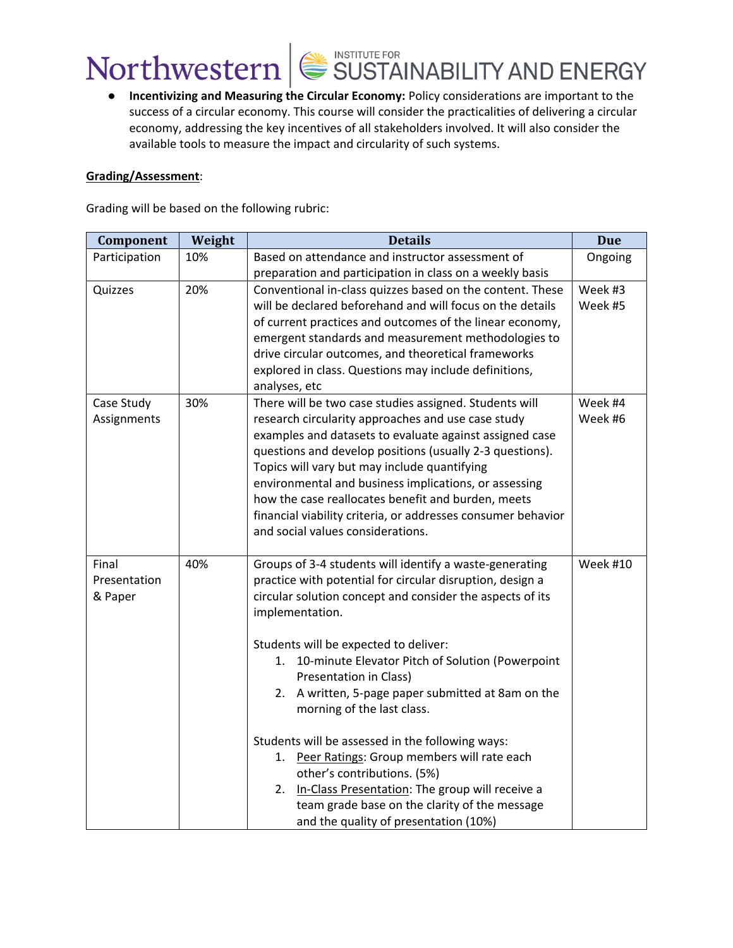### ● **Incentivizing and Measuring the Circular Economy:** Policy considerations are important to the success of a circular economy. This course will consider the practicalities of delivering a circular economy, addressing the key incentives of all stakeholders involved. It will also consider the available tools to measure the impact and circularity of such systems.

#### **Grading/Assessment**:

Grading will be based on the following rubric:

| Component     | Weight | <b>Details</b>                                                                                                     | <b>Due</b> |
|---------------|--------|--------------------------------------------------------------------------------------------------------------------|------------|
| Participation | 10%    | Based on attendance and instructor assessment of                                                                   | Ongoing    |
|               |        | preparation and participation in class on a weekly basis                                                           |            |
| Quizzes       | 20%    | Conventional in-class quizzes based on the content. These                                                          | Week #3    |
|               |        | will be declared beforehand and will focus on the details                                                          | Week #5    |
|               |        | of current practices and outcomes of the linear economy,                                                           |            |
|               |        | emergent standards and measurement methodologies to                                                                |            |
|               |        | drive circular outcomes, and theoretical frameworks                                                                |            |
|               |        | explored in class. Questions may include definitions,                                                              |            |
|               |        | analyses, etc                                                                                                      |            |
| Case Study    | 30%    | There will be two case studies assigned. Students will                                                             | Week #4    |
| Assignments   |        | research circularity approaches and use case study                                                                 | Week #6    |
|               |        | examples and datasets to evaluate against assigned case                                                            |            |
|               |        | questions and develop positions (usually 2-3 questions).                                                           |            |
|               |        | Topics will vary but may include quantifying                                                                       |            |
|               |        | environmental and business implications, or assessing                                                              |            |
|               |        | how the case reallocates benefit and burden, meets<br>financial viability criteria, or addresses consumer behavior |            |
|               |        | and social values considerations.                                                                                  |            |
|               |        |                                                                                                                    |            |
| Final         | 40%    | Groups of 3-4 students will identify a waste-generating                                                            | Week #10   |
| Presentation  |        | practice with potential for circular disruption, design a                                                          |            |
| & Paper       |        | circular solution concept and consider the aspects of its                                                          |            |
|               |        | implementation.                                                                                                    |            |
|               |        |                                                                                                                    |            |
|               |        | Students will be expected to deliver:                                                                              |            |
|               |        | 10-minute Elevator Pitch of Solution (Powerpoint<br>1.                                                             |            |
|               |        | Presentation in Class)                                                                                             |            |
|               |        | 2. A written, 5-page paper submitted at 8am on the                                                                 |            |
|               |        | morning of the last class.                                                                                         |            |
|               |        |                                                                                                                    |            |
|               |        | Students will be assessed in the following ways:                                                                   |            |
|               |        | 1. Peer Ratings: Group members will rate each                                                                      |            |
|               |        | other's contributions. (5%)                                                                                        |            |
|               |        | 2. In-Class Presentation: The group will receive a                                                                 |            |
|               |        | team grade base on the clarity of the message                                                                      |            |
|               |        | and the quality of presentation (10%)                                                                              |            |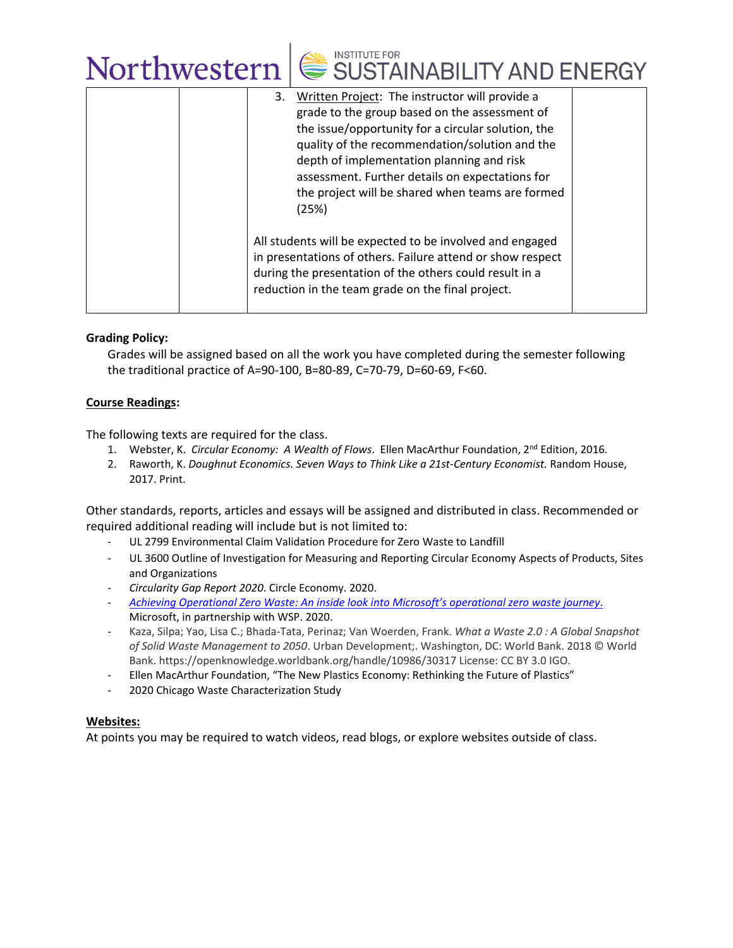| 3. | Written Project: The instructor will provide a<br>grade to the group based on the assessment of<br>the issue/opportunity for a circular solution, the<br>quality of the recommendation/solution and the<br>depth of implementation planning and risk<br>assessment. Further details on expectations for<br>the project will be shared when teams are formed<br>(25%) |  |
|----|----------------------------------------------------------------------------------------------------------------------------------------------------------------------------------------------------------------------------------------------------------------------------------------------------------------------------------------------------------------------|--|
|    | All students will be expected to be involved and engaged<br>in presentations of others. Failure attend or show respect<br>during the presentation of the others could result in a<br>reduction in the team grade on the final project.                                                                                                                               |  |

### **Grading Policy:**

Grades will be assigned based on all the work you have completed during the semester following the traditional practice of A=90-100, B=80-89, C=70-79, D=60-69, F<60.

### **Course Readings:**

The following texts are required for the class.

- 1. Webster, K. *Circular Economy: A Wealth of Flows*. Ellen MacArthur Foundation, 2nd Edition, 2016.
- 2. Raworth, K. *Doughnut Economics. Seven Ways to Think Like a 21st-Century Economist.* Random House, 2017. Print.

Other standards, reports, articles and essays will be assigned and distributed in class. Recommended or required additional reading will include but is not limited to:

- UL 2799 Environmental Claim Validation Procedure for Zero Waste to Landfill
- UL 3600 Outline of Investigation for Measuring and Reporting Circular Economy Aspects of Products, Sites and Organizations
- *Circularity Gap Report 2020*. Circle Economy. 2020.
- *[Achieving Operational Zero Waste: An inside look into Microsoft](https://download.microsoft.com/download/7/2/8/72830831-5d64-4f5c-9f51-e6e38ab1dd55/Zero_Waste_External_Whitepaper.pdf)'s operational zero waste journey*. Microsoft, in partnership with WSP. 2020.
- Kaza, Silpa; Yao, Lisa C.; Bhada-Tata, Perinaz; Van Woerden, Frank. *What a Waste 2.0 : A Global Snapshot of Solid Waste Management to 2050*. Urban Development;. Washington, DC: World Bank. 2018 © World Bank. https://openknowledge.worldbank.org/handle/10986/30317 License: CC BY 3.0 IGO.
- Ellen MacArthur Foundation, "The New Plastics Economy: Rethinking the Future of Plastics"
- 2020 Chicago Waste Characterization Study

#### **Websites:**

At points you may be required to watch videos, read blogs, or explore websites outside of class.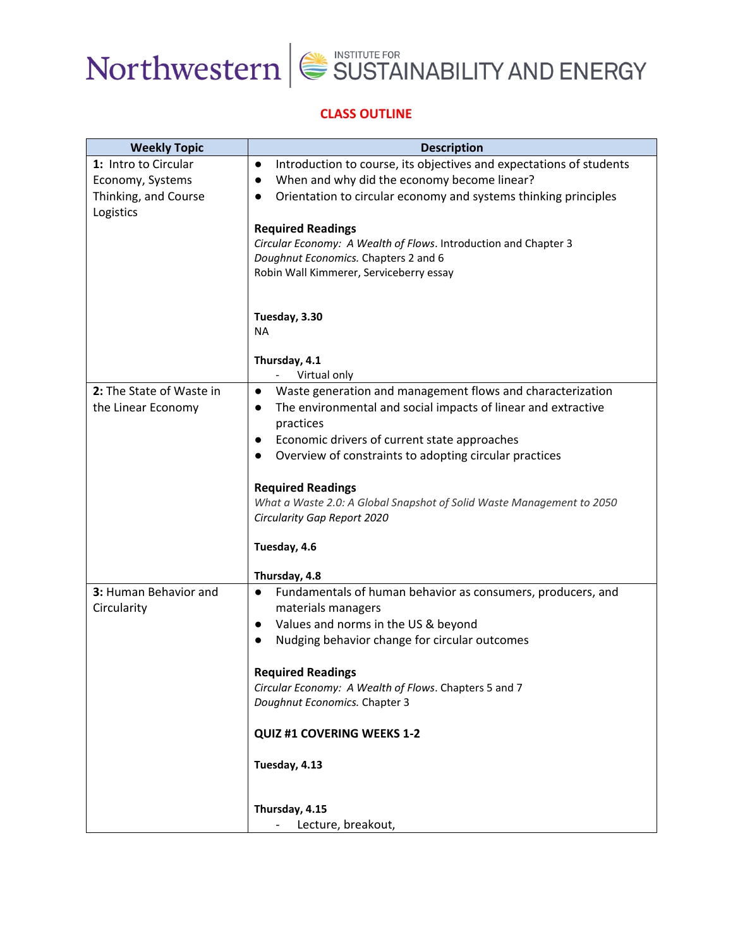

### **CLASS OUTLINE**

| <b>Weekly Topic</b>                                                           | <b>Description</b>                                                                                                                                                                                                                                                                                                                                                                                                                                                         |  |
|-------------------------------------------------------------------------------|----------------------------------------------------------------------------------------------------------------------------------------------------------------------------------------------------------------------------------------------------------------------------------------------------------------------------------------------------------------------------------------------------------------------------------------------------------------------------|--|
| 1: Intro to Circular<br>Economy, Systems<br>Thinking, and Course<br>Logistics | Introduction to course, its objectives and expectations of students<br>$\bullet$<br>When and why did the economy become linear?<br>$\bullet$<br>Orientation to circular economy and systems thinking principles<br>$\bullet$<br><b>Required Readings</b><br>Circular Economy: A Wealth of Flows. Introduction and Chapter 3                                                                                                                                                |  |
|                                                                               | Doughnut Economics. Chapters 2 and 6<br>Robin Wall Kimmerer, Serviceberry essay<br>Tuesday, 3.30<br><b>NA</b>                                                                                                                                                                                                                                                                                                                                                              |  |
|                                                                               | Thursday, 4.1                                                                                                                                                                                                                                                                                                                                                                                                                                                              |  |
| 2: The State of Waste in<br>the Linear Economy                                | Virtual only<br>Waste generation and management flows and characterization<br>$\bullet$<br>The environmental and social impacts of linear and extractive<br>$\bullet$<br>practices<br>Economic drivers of current state approaches<br>$\bullet$<br>Overview of constraints to adopting circular practices<br>$\bullet$<br><b>Required Readings</b><br>What a Waste 2.0: A Global Snapshot of Solid Waste Management to 2050<br>Circularity Gap Report 2020<br>Tuesday, 4.6 |  |
|                                                                               |                                                                                                                                                                                                                                                                                                                                                                                                                                                                            |  |
| 3: Human Behavior and<br>Circularity                                          | Thursday, 4.8<br>Fundamentals of human behavior as consumers, producers, and<br>$\bullet$<br>materials managers<br>Values and norms in the US & beyond<br>$\bullet$<br>Nudging behavior change for circular outcomes<br>$\bullet$<br><b>Required Readings</b><br>Circular Economy: A Wealth of Flows. Chapters 5 and 7<br>Doughnut Economics. Chapter 3<br><b>QUIZ #1 COVERING WEEKS 1-2</b><br>Tuesday, 4.13<br>Thursday, 4.15                                            |  |
|                                                                               | Lecture, breakout,                                                                                                                                                                                                                                                                                                                                                                                                                                                         |  |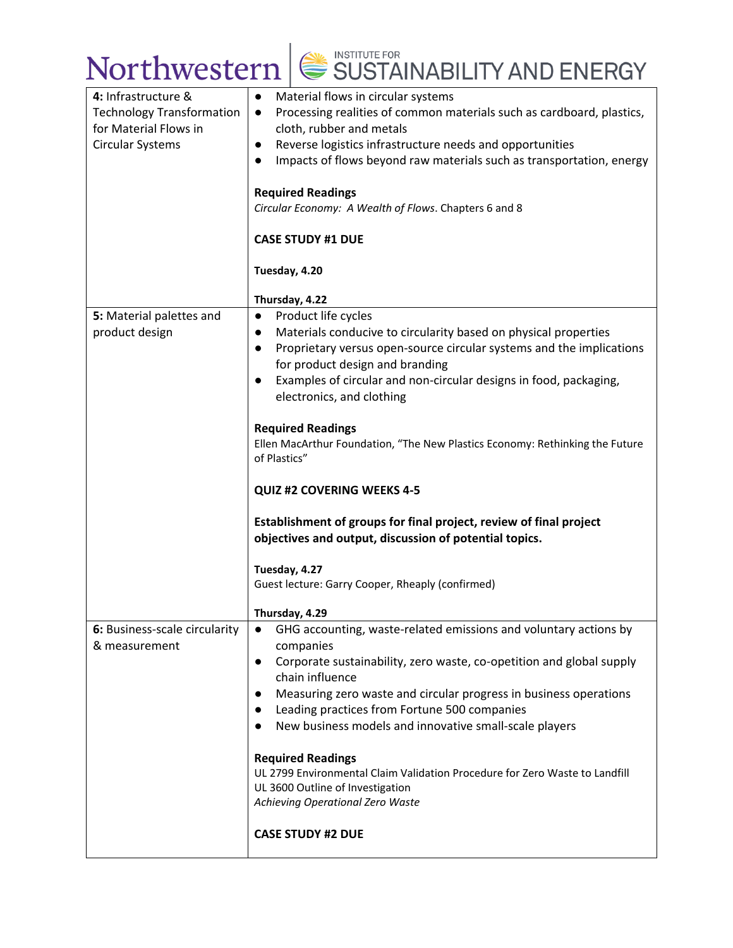| 4: Infrastructure &              | Material flows in circular systems<br>$\bullet$                                   |  |  |
|----------------------------------|-----------------------------------------------------------------------------------|--|--|
| <b>Technology Transformation</b> | Processing realities of common materials such as cardboard, plastics,             |  |  |
| for Material Flows in            | $\bullet$<br>cloth, rubber and metals                                             |  |  |
|                                  |                                                                                   |  |  |
| Circular Systems                 | Reverse logistics infrastructure needs and opportunities<br>$\bullet$             |  |  |
|                                  | Impacts of flows beyond raw materials such as transportation, energy<br>$\bullet$ |  |  |
|                                  |                                                                                   |  |  |
|                                  | <b>Required Readings</b><br>Circular Economy: A Wealth of Flows. Chapters 6 and 8 |  |  |
|                                  |                                                                                   |  |  |
|                                  | <b>CASE STUDY #1 DUE</b>                                                          |  |  |
|                                  |                                                                                   |  |  |
|                                  | Tuesday, 4.20                                                                     |  |  |
|                                  |                                                                                   |  |  |
|                                  | Thursday, 4.22                                                                    |  |  |
| 5: Material palettes and         | Product life cycles<br>$\bullet$                                                  |  |  |
| product design                   | Materials conducive to circularity based on physical properties<br>$\bullet$      |  |  |
|                                  | Proprietary versus open-source circular systems and the implications<br>$\bullet$ |  |  |
|                                  | for product design and branding                                                   |  |  |
|                                  | Examples of circular and non-circular designs in food, packaging,<br>$\bullet$    |  |  |
|                                  | electronics, and clothing                                                         |  |  |
|                                  |                                                                                   |  |  |
|                                  | <b>Required Readings</b>                                                          |  |  |
|                                  | Ellen MacArthur Foundation, "The New Plastics Economy: Rethinking the Future      |  |  |
|                                  | of Plastics"                                                                      |  |  |
|                                  |                                                                                   |  |  |
|                                  | <b>QUIZ #2 COVERING WEEKS 4-5</b>                                                 |  |  |
|                                  |                                                                                   |  |  |
|                                  | Establishment of groups for final project, review of final project                |  |  |
|                                  | objectives and output, discussion of potential topics.                            |  |  |
|                                  |                                                                                   |  |  |
|                                  | Tuesday, 4.27                                                                     |  |  |
|                                  | Guest lecture: Garry Cooper, Rheaply (confirmed)                                  |  |  |
|                                  |                                                                                   |  |  |
|                                  | Thursday, 4.29                                                                    |  |  |
| 6: Business-scale circularity    | GHG accounting, waste-related emissions and voluntary actions by<br>$\bullet$     |  |  |
| & measurement                    | companies                                                                         |  |  |
|                                  | Corporate sustainability, zero waste, co-opetition and global supply<br>$\bullet$ |  |  |
|                                  | chain influence                                                                   |  |  |
|                                  | Measuring zero waste and circular progress in business operations<br>$\bullet$    |  |  |
|                                  | Leading practices from Fortune 500 companies<br>$\bullet$                         |  |  |
|                                  | New business models and innovative small-scale players<br>$\bullet$               |  |  |
|                                  |                                                                                   |  |  |
|                                  | <b>Required Readings</b>                                                          |  |  |
|                                  | UL 2799 Environmental Claim Validation Procedure for Zero Waste to Landfill       |  |  |
|                                  | UL 3600 Outline of Investigation                                                  |  |  |
|                                  | Achieving Operational Zero Waste                                                  |  |  |
|                                  |                                                                                   |  |  |
|                                  | <b>CASE STUDY #2 DUE</b>                                                          |  |  |
|                                  |                                                                                   |  |  |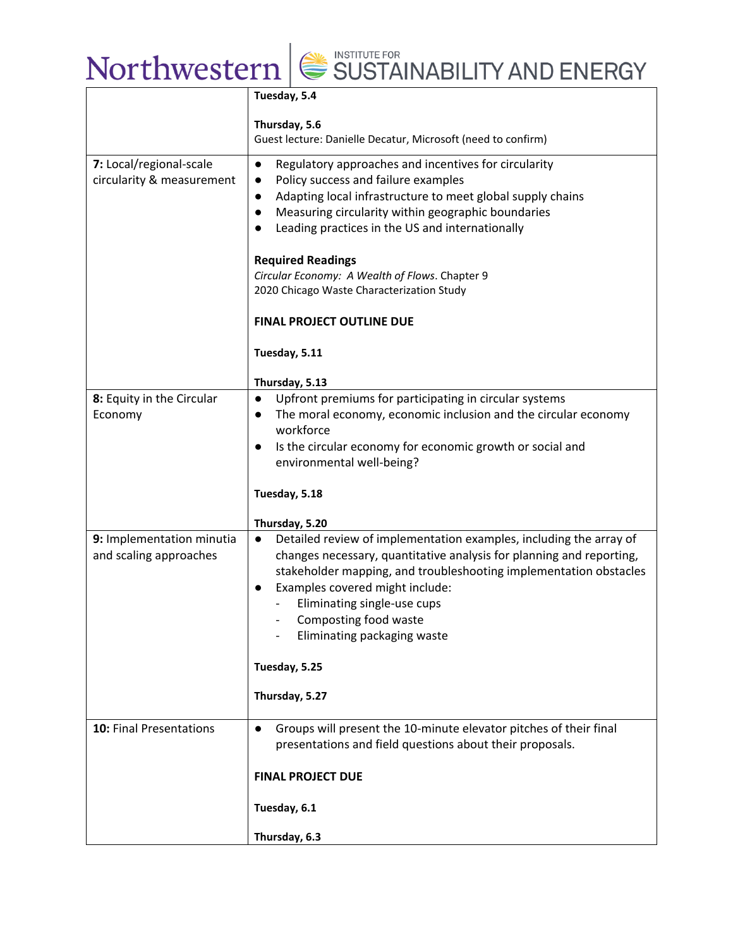|                                                      | Tuesday, 5.4                                                                                                                                                                                                                                                                                                                                                        |  |  |
|------------------------------------------------------|---------------------------------------------------------------------------------------------------------------------------------------------------------------------------------------------------------------------------------------------------------------------------------------------------------------------------------------------------------------------|--|--|
|                                                      | Thursday, 5.6<br>Guest lecture: Danielle Decatur, Microsoft (need to confirm)                                                                                                                                                                                                                                                                                       |  |  |
| 7: Local/regional-scale<br>circularity & measurement | Regulatory approaches and incentives for circularity<br>$\bullet$<br>Policy success and failure examples<br>$\bullet$<br>Adapting local infrastructure to meet global supply chains<br>$\bullet$<br>Measuring circularity within geographic boundaries<br>$\bullet$<br>Leading practices in the US and internationally<br>$\bullet$                                 |  |  |
|                                                      | <b>Required Readings</b><br>Circular Economy: A Wealth of Flows. Chapter 9<br>2020 Chicago Waste Characterization Study                                                                                                                                                                                                                                             |  |  |
|                                                      | <b>FINAL PROJECT OUTLINE DUE</b>                                                                                                                                                                                                                                                                                                                                    |  |  |
|                                                      | Tuesday, 5.11                                                                                                                                                                                                                                                                                                                                                       |  |  |
|                                                      | Thursday, 5.13                                                                                                                                                                                                                                                                                                                                                      |  |  |
| 8: Equity in the Circular<br>Economy                 | Upfront premiums for participating in circular systems<br>$\bullet$<br>The moral economy, economic inclusion and the circular economy<br>$\bullet$<br>workforce<br>Is the circular economy for economic growth or social and<br>$\bullet$<br>environmental well-being?                                                                                              |  |  |
|                                                      | Tuesday, 5.18                                                                                                                                                                                                                                                                                                                                                       |  |  |
|                                                      | Thursday, 5.20                                                                                                                                                                                                                                                                                                                                                      |  |  |
| 9: Implementation minutia<br>and scaling approaches  | Detailed review of implementation examples, including the array of<br>$\bullet$<br>changes necessary, quantitative analysis for planning and reporting,<br>stakeholder mapping, and troubleshooting implementation obstacles<br>Examples covered might include:<br>$\bullet$<br>Eliminating single-use cups<br>Composting food waste<br>Eliminating packaging waste |  |  |
|                                                      | Tuesday, 5.25                                                                                                                                                                                                                                                                                                                                                       |  |  |
|                                                      | Thursday, 5.27                                                                                                                                                                                                                                                                                                                                                      |  |  |
| <b>10: Final Presentations</b>                       | Groups will present the 10-minute elevator pitches of their final<br>$\bullet$<br>presentations and field questions about their proposals.                                                                                                                                                                                                                          |  |  |
|                                                      | <b>FINAL PROJECT DUE</b>                                                                                                                                                                                                                                                                                                                                            |  |  |
|                                                      | Tuesday, 6.1                                                                                                                                                                                                                                                                                                                                                        |  |  |
|                                                      | Thursday, 6.3                                                                                                                                                                                                                                                                                                                                                       |  |  |